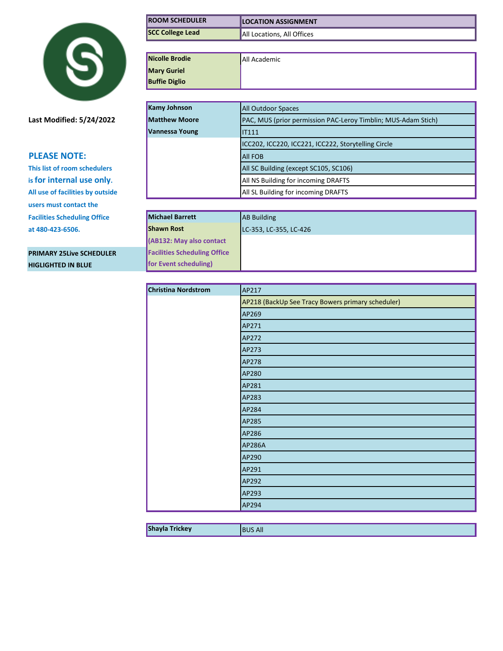

**Last Modified: 5/24/2022** 

## **PLEASE NOTE:**

**This list of room schedulers is for internal use only. All use of facilities by outside users must contact the Facilities Scheduling Office** at 480-423-6506.

**PRIMARY 25Live SCHEDULER HIGLIGHTED IN BLUE for Event scheduling)**

| <b>ROOM SCHEDULER</b>               | <b>LOCATION ASSIGNMENT</b>                                    |
|-------------------------------------|---------------------------------------------------------------|
| <b>SCC College Lead</b>             | All Locations, All Offices                                    |
|                                     |                                                               |
| Nicolle Brodie                      | All Academic                                                  |
| <b>Mary Guriel</b>                  |                                                               |
| <b>Buffie Diglio</b>                |                                                               |
|                                     |                                                               |
| <b>Kamy Johnson</b>                 | <b>All Outdoor Spaces</b>                                     |
| <b>Matthew Moore</b>                | PAC, MUS (prior permission PAC-Leroy Timblin; MUS-Adam Stich) |
| Vannessa Young                      | <b>IT111</b>                                                  |
|                                     | ICC202, ICC220, ICC221, ICC222, Storytelling Circle           |
|                                     | <b>All FOB</b>                                                |
|                                     | All SC Building (except SC105, SC106)                         |
|                                     | All NS Building for incoming DRAFTS                           |
|                                     | All SL Building for incoming DRAFTS                           |
|                                     |                                                               |
| <b>Michael Barrett</b>              | <b>AB Building</b>                                            |
| <b>Shawn Rost</b>                   | LC-353, LC-355, LC-426                                        |
| (AB132: May also contact            |                                                               |
| <b>Facilities Scheduling Office</b> |                                                               |
| for Event scheduling)               |                                                               |

| Christina Nordstrom | AP217                                             |
|---------------------|---------------------------------------------------|
|                     | AP218 (BackUp See Tracy Bowers primary scheduler) |
|                     | AP269                                             |
|                     | AP271                                             |
|                     | AP272                                             |
|                     | AP273                                             |
|                     | AP278                                             |
|                     | AP280                                             |
|                     | AP281                                             |
|                     | AP283                                             |
|                     | AP284                                             |
|                     | AP285                                             |
|                     | AP286                                             |
|                     | <b>AP286A</b>                                     |
|                     | AP290                                             |
|                     | AP291                                             |
|                     | AP292                                             |
|                     | AP293                                             |
|                     | AP294                                             |

**Shayla Trickey** BUS All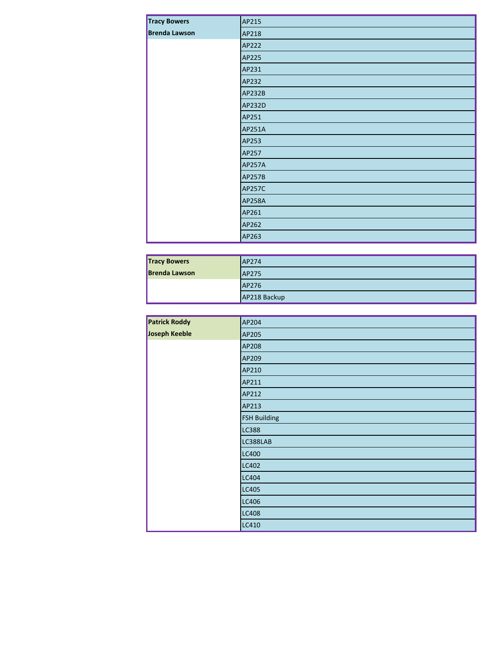| <b>Tracy Bowers</b>  | AP215         |
|----------------------|---------------|
| <b>Brenda Lawson</b> | AP218         |
|                      | AP222         |
|                      | AP225         |
|                      | AP231         |
|                      | AP232         |
|                      | <b>AP232B</b> |
|                      | AP232D        |
|                      | AP251         |
|                      | AP251A        |
|                      | AP253         |
|                      | AP257         |
|                      | <b>AP257A</b> |
|                      | <b>AP257B</b> |
|                      | <b>AP257C</b> |
|                      | <b>AP258A</b> |
|                      | AP261         |
|                      | AP262         |
|                      | AP263         |

| <b>Tracy Bowers</b>  | AP274        |
|----------------------|--------------|
| <b>Brenda Lawson</b> | <b>AP275</b> |
|                      | AP276        |
|                      | AP218 Backup |

| <b>Patrick Roddy</b> | AP204               |
|----------------------|---------------------|
| Joseph Keeble        | AP205               |
|                      | AP208               |
|                      | AP209               |
|                      | AP210               |
|                      | AP211               |
|                      | AP212               |
|                      | AP213               |
|                      | <b>FSH Building</b> |
|                      | <b>LC388</b>        |
|                      | LC388LAB            |
|                      | <b>LC400</b>        |
|                      | LC402               |
|                      | <b>LC404</b>        |
|                      | <b>LC405</b>        |
|                      | <b>LC406</b>        |
|                      | <b>LC408</b>        |
|                      | LC410               |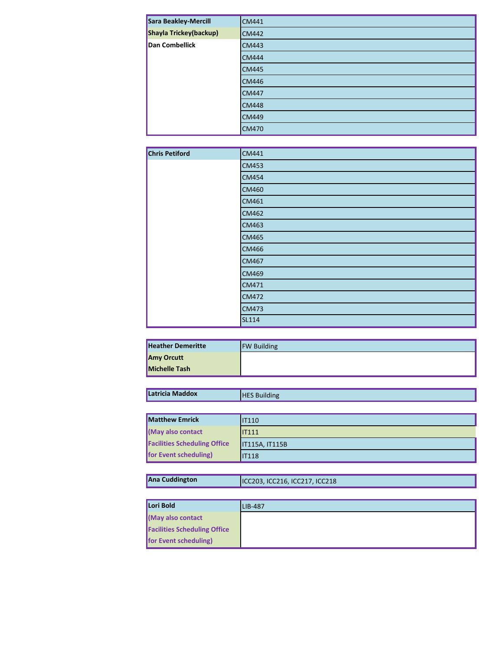| Sara Beakley-Mercill   | <b>CM441</b> |
|------------------------|--------------|
| Shayla Trickey(backup) | <b>CM442</b> |
| Dan Combellick         | <b>CM443</b> |
|                        | <b>CM444</b> |
|                        | <b>CM445</b> |
|                        | <b>CM446</b> |
|                        | <b>CM447</b> |
|                        | <b>CM448</b> |
|                        | <b>CM449</b> |
|                        | <b>CM470</b> |

| <b>Chris Petiford</b> | CM441        |
|-----------------------|--------------|
|                       | <b>CM453</b> |
|                       | <b>CM454</b> |
|                       | <b>CM460</b> |
|                       | CM461        |
|                       | <b>CM462</b> |
|                       | <b>CM463</b> |
|                       | <b>CM465</b> |
|                       | <b>CM466</b> |
|                       | <b>CM467</b> |
|                       | <b>CM469</b> |
|                       | CM471        |
|                       | <b>CM472</b> |
|                       | <b>CM473</b> |
|                       | <b>SL114</b> |

| <b>Heather Demeritte</b> | <b>FW Building</b> |
|--------------------------|--------------------|
| <b>Amy Orcutt</b>        |                    |
| <b>Michelle Tash</b>     |                    |

| Latricia Maddox                     | <b>HES Building</b>   |
|-------------------------------------|-----------------------|
|                                     |                       |
| <b>Matthew Emrick</b>               | <b>IT110</b>          |
| (May also contact                   | IIT111                |
| <b>Facilities Scheduling Office</b> | <b>IT115A, IT115B</b> |
| for Event scheduling)               | <b>IT118</b>          |

| Ana Cuddington | ICC203, ICC216, ICC217, ICC218 |
|----------------|--------------------------------|
|----------------|--------------------------------|

| Lori Bold                           | LIB-487 |
|-------------------------------------|---------|
| May also contact                    |         |
| <b>Facilities Scheduling Office</b> |         |
| for Event scheduling)               |         |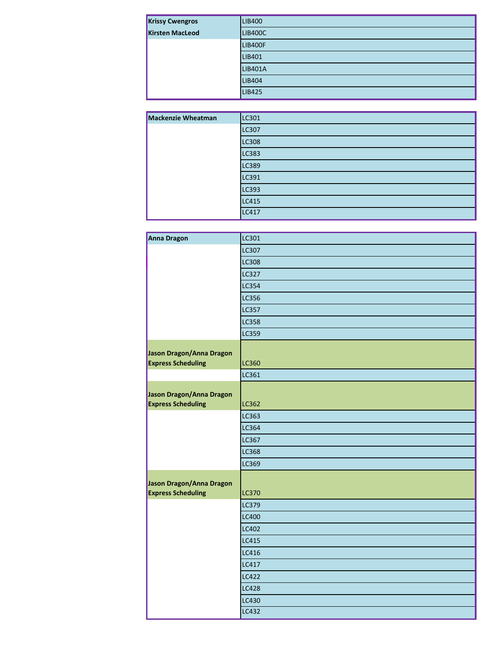| <b>Krissy Cwengros</b> | <b>LIB400</b>  |
|------------------------|----------------|
| <b>Kirsten MacLeod</b> | <b>LIB400C</b> |
|                        | <b>LIB400F</b> |
|                        | LIB401         |
|                        | <b>LIB401A</b> |
|                        | <b>LIB404</b>  |
|                        | <b>LIB425</b>  |

| <b>Mackenzie Wheatman</b> | LC301        |
|---------------------------|--------------|
|                           | LC307        |
|                           | <b>LC308</b> |
|                           | LC383        |
|                           | LC389        |
|                           | LC391        |
|                           | LC393        |
|                           | <b>LC415</b> |
|                           | <b>LC417</b> |

| <b>Anna Dragon</b>                                    | LC301        |
|-------------------------------------------------------|--------------|
|                                                       | <b>LC307</b> |
|                                                       | LC308        |
|                                                       | LC327        |
|                                                       | <b>LC354</b> |
|                                                       | LC356        |
|                                                       | LC357        |
|                                                       | <b>LC358</b> |
|                                                       | <b>LC359</b> |
| Jason Dragon/Anna Dragon<br><b>Express Scheduling</b> | <b>LC360</b> |
|                                                       | LC361        |
| Jason Dragon/Anna Dragon<br><b>Express Scheduling</b> | <b>LC362</b> |
|                                                       | LC363        |
|                                                       | LC364        |
|                                                       | LC367        |
|                                                       | LC368        |
|                                                       | LC369        |
| Jason Dragon/Anna Dragon<br><b>Express Scheduling</b> | <b>LC370</b> |
|                                                       | LC379        |
|                                                       | LC400        |
|                                                       | LC402        |
|                                                       | LC415        |
|                                                       | LC416        |
|                                                       | LC417        |
|                                                       | LC422        |
|                                                       | <b>LC428</b> |
|                                                       | LC430        |
|                                                       | LC432        |